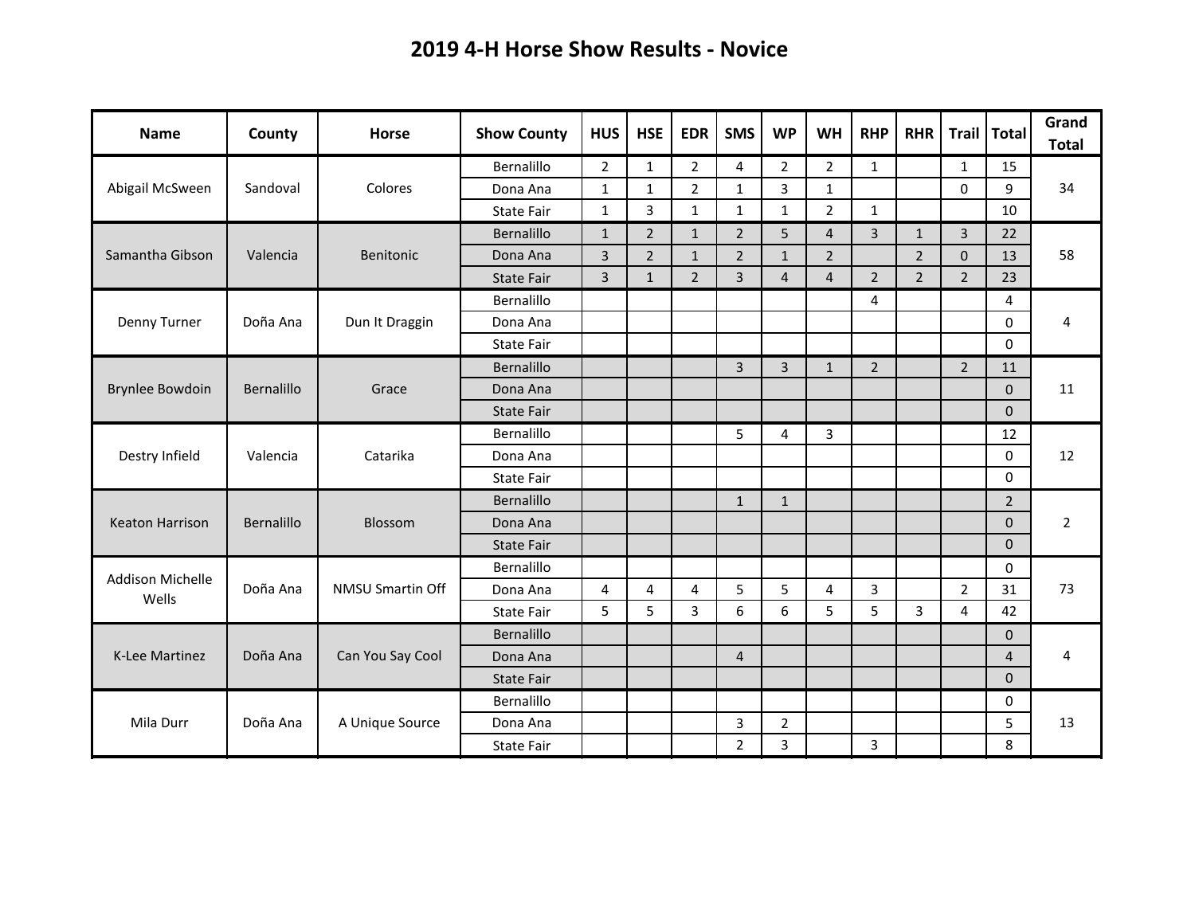## **2019 4-H Horse Show Results - Novice**

| <b>Name</b>                      | County     | <b>Horse</b>            | <b>Show County</b> | <b>HUS</b>     | <b>HSE</b>     | <b>EDR</b>     | <b>SMS</b>     | <b>WP</b>      | <b>WH</b>      | <b>RHP</b>     | <b>RHR</b>     | <b>Trail</b>   | <b>Total</b>   | Grand<br><b>Total</b> |
|----------------------------------|------------|-------------------------|--------------------|----------------|----------------|----------------|----------------|----------------|----------------|----------------|----------------|----------------|----------------|-----------------------|
| Abigail McSween                  | Sandoval   |                         | Bernalillo         | $\overline{2}$ | $\mathbf{1}$   | $\overline{2}$ | 4              | $\overline{2}$ | 2              | $\mathbf{1}$   |                | $\mathbf{1}$   | 15             | 34                    |
|                                  |            | Colores                 | Dona Ana           | $\mathbf{1}$   | $\mathbf{1}$   | $\overline{2}$ | $\mathbf{1}$   | 3              | $\mathbf{1}$   |                |                | 0              | 9              |                       |
|                                  |            |                         | State Fair         | $\mathbf{1}$   | 3              | $\mathbf{1}$   | $\mathbf{1}$   | $\mathbf{1}$   | $\overline{2}$ | $\mathbf{1}$   |                |                | 10             |                       |
| Samantha Gibson                  | Valencia   | Benitonic               | Bernalillo         | $\mathbf{1}$   | $\overline{2}$ | $\mathbf{1}$   | $\overline{2}$ | 5              | $\overline{4}$ | $\overline{3}$ | $\mathbf{1}$   | 3              | 22             | 58                    |
|                                  |            |                         | Dona Ana           | $\overline{3}$ | $\overline{2}$ | $\mathbf{1}$   | $\overline{2}$ | $\mathbf{1}$   | $\overline{2}$ |                | $\overline{2}$ | $\mathbf 0$    | 13             |                       |
|                                  |            |                         | <b>State Fair</b>  | $\overline{3}$ | $\mathbf{1}$   | $\overline{2}$ | $\overline{3}$ | $\overline{4}$ | $\overline{4}$ | $\overline{2}$ | $2^{\circ}$    | $\overline{2}$ | 23             |                       |
|                                  |            | Dun It Draggin          | Bernalillo         |                |                |                |                |                |                | 4              |                |                | 4              | 4                     |
| Denny Turner                     | Doña Ana   |                         | Dona Ana           |                |                |                |                |                |                |                |                |                | $\Omega$       |                       |
|                                  |            |                         | <b>State Fair</b>  |                |                |                |                |                |                |                |                |                | $\Omega$       |                       |
|                                  | Bernalillo | Grace                   | Bernalillo         |                |                |                | $\overline{3}$ | 3              | $\mathbf{1}$   | $\overline{2}$ |                | $\overline{2}$ | 11             | 11                    |
| <b>Brynlee Bowdoin</b>           |            |                         | Dona Ana           |                |                |                |                |                |                |                |                |                | $\Omega$       |                       |
|                                  |            |                         | <b>State Fair</b>  |                |                |                |                |                |                |                |                |                | $\Omega$       |                       |
|                                  | Valencia   | Catarika                | Bernalillo         |                |                |                | 5              | 4              | 3              |                |                |                | 12             | 12                    |
| Destry Infield                   |            |                         | Dona Ana           |                |                |                |                |                |                |                |                |                | 0              |                       |
|                                  |            |                         | <b>State Fair</b>  |                |                |                |                |                |                |                |                |                | $\Omega$       |                       |
|                                  | Bernalillo | Blossom                 | Bernalillo         |                |                |                | $\mathbf{1}$   | $\mathbf{1}$   |                |                |                |                | $\overline{2}$ | $\overline{2}$        |
| <b>Keaton Harrison</b>           |            |                         | Dona Ana           |                |                |                |                |                |                |                |                |                | $\Omega$       |                       |
|                                  |            |                         | <b>State Fair</b>  |                |                |                |                |                |                |                |                |                | $\mathbf{0}$   |                       |
| <b>Addison Michelle</b><br>Wells | Doña Ana   | <b>NMSU Smartin Off</b> | Bernalillo         |                |                |                |                |                |                |                |                |                | 0              | 73                    |
|                                  |            |                         | Dona Ana           | 4              | 4              | 4              | 5              | 5              | 4              | 3              |                | $\overline{2}$ | 31             |                       |
|                                  |            |                         | State Fair         | 5              | 5              | 3              | 6              | 6              | 5              | 5              | 3              | 4              | 42             |                       |
| <b>K-Lee Martinez</b>            | Doña Ana   | Can You Say Cool        | Bernalillo         |                |                |                |                |                |                |                |                |                | $\Omega$       | 4                     |
|                                  |            |                         | Dona Ana           |                |                |                | $\overline{4}$ |                |                |                |                |                | $\overline{4}$ |                       |
|                                  |            |                         | <b>State Fair</b>  |                |                |                |                |                |                |                |                |                | $\mathbf{0}$   |                       |
|                                  | Doña Ana   | A Unique Source         | Bernalillo         |                |                |                |                |                |                |                |                |                | 0              |                       |
| Mila Durr                        |            |                         | Dona Ana           |                |                |                | 3              | $\overline{2}$ |                |                |                |                | 5              | 13                    |
|                                  |            |                         | <b>State Fair</b>  |                |                |                | $\overline{2}$ | 3              |                | 3              |                |                | 8              |                       |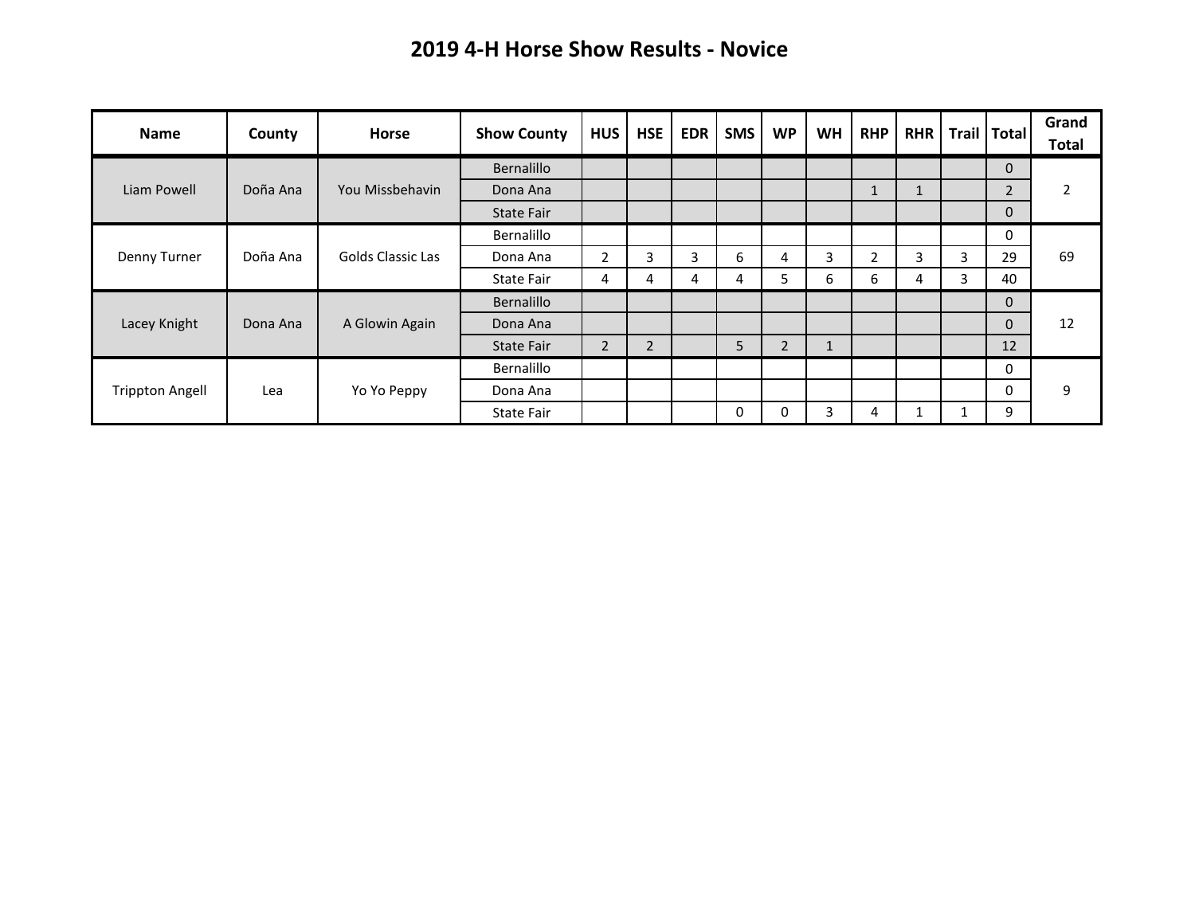## **2019 4-H Horse Show Results - Novice**

| Name                   | County   | <b>Horse</b>             | <b>Show County</b> | <b>HUS</b>     | <b>HSE</b> | <b>EDR</b> | <b>SMS</b> | <b>WP</b>      | <b>WH</b> | <b>RHP</b>     | <b>RHR</b> |   | Trail   Total  | Grand<br><b>Total</b> |
|------------------------|----------|--------------------------|--------------------|----------------|------------|------------|------------|----------------|-----------|----------------|------------|---|----------------|-----------------------|
| Liam Powell            | Doña Ana | You Missbehavin          | Bernalillo         |                |            |            |            |                |           |                |            |   | $\mathbf{0}$   | 2                     |
|                        |          |                          | Dona Ana           |                |            |            |            |                |           | $\mathbf{1}$   |            |   | $\overline{2}$ |                       |
|                        |          |                          | <b>State Fair</b>  |                |            |            |            |                |           |                |            |   | $\mathbf 0$    |                       |
| Denny Turner           | Doña Ana | <b>Golds Classic Las</b> | <b>Bernalillo</b>  |                |            |            |            |                |           |                |            |   | 0              |                       |
|                        |          |                          | Dona Ana           | $\overline{2}$ | 3          | 3          | 6          | 4              | 3         | $\overline{2}$ | 3          | 3 | 29             | 69                    |
|                        |          |                          | State Fair         | 4              | 4          | 4          | 4          | 5              | 6         | 6              | 4          | 3 | 40             |                       |
| Lacey Knight           | Dona Ana | A Glowin Again           | Bernalillo         |                |            |            |            |                |           |                |            |   | $\mathbf 0$    | 12                    |
|                        |          |                          | Dona Ana           |                |            |            |            |                |           |                |            |   | $\Omega$       |                       |
|                        |          |                          | <b>State Fair</b>  | $\overline{2}$ | 2          |            | 5          | $\overline{2}$ | $\perp$   |                |            |   | 12             |                       |
| <b>Trippton Angell</b> | Lea      | Yo Yo Peppy              | Bernalillo         |                |            |            |            |                |           |                |            |   | 0              |                       |
|                        |          |                          | Dona Ana           |                |            |            |            |                |           |                |            |   | 0              | 9                     |
|                        |          |                          | State Fair         |                |            |            | 0          | O              | 3         | 4              |            |   | 9              |                       |